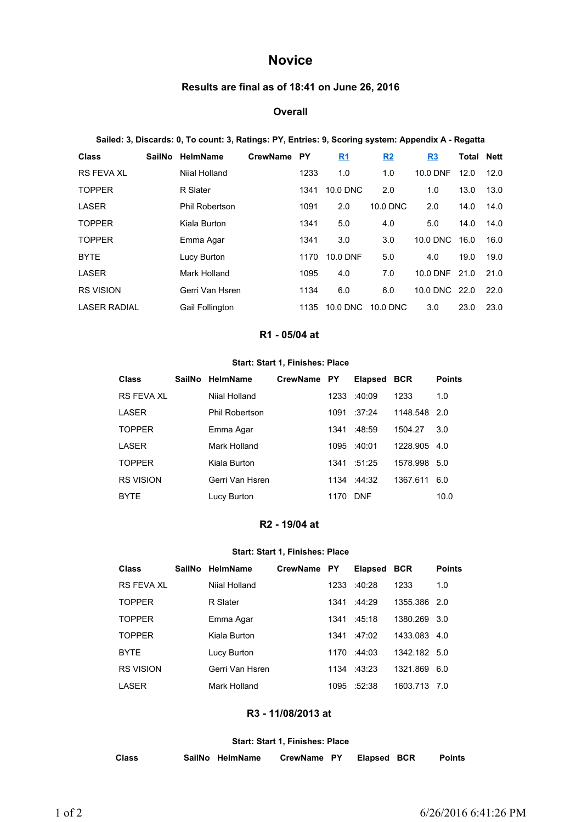# **Novice**

# **Results are final as of 18:41 on June 26, 2016**

### **Overall**

#### **Sailed: 3, Discards: 0, To count: 3, Ratings: PY, Entries: 9, Scoring system: Appendix A - Regatta**

| <b>Class</b>        | SailNo | HelmName               | <b>CrewName</b> | <b>PY</b> | <u>R1</u> | R2       | R <sub>3</sub> | <b>Total Nett</b> |      |
|---------------------|--------|------------------------|-----------------|-----------|-----------|----------|----------------|-------------------|------|
| <b>RS FEVA XL</b>   |        | Niial Holland          |                 | 1233      | 1.0       | 1.0      | 10.0 DNF       | 12.0              | 12.0 |
| <b>TOPPER</b>       |        | R Slater               |                 | 1341      | 10.0 DNC  | 2.0      | 1.0            | 13.0              | 13.0 |
| <b>LASER</b>        |        | <b>Phil Robertson</b>  |                 | 1091      | 2.0       | 10.0 DNC | 2.0            | 14.0              | 14.0 |
| <b>TOPPER</b>       |        | Kiala Burton           |                 | 1341      | 5.0       | 4.0      | 5.0            | 14.0              | 14.0 |
| <b>TOPPER</b>       |        | Emma Agar              |                 | 1341      | 3.0       | 3.0      | 10.0 DNC       | 16.0              | 16.0 |
| <b>BYTE</b>         |        | Lucy Burton            |                 | 1170      | 10.0 DNF  | 5.0      | 4.0            | 19.0              | 19.0 |
| LASER               |        | Mark Holland           |                 | 1095      | 4.0       | 7.0      | 10.0 DNF 21.0  |                   | 21.0 |
| <b>RS VISION</b>    |        | Gerri Van Hsren        |                 | 1134      | 6.0       | 6.0      | 10.0 DNC       | 22.0              | 22.0 |
| <b>LASER RADIAL</b> |        | <b>Gail Follington</b> |                 | 1135      | 10.0 DNC  | 10.0 DNC | 3.0            | 23.0              | 23.0 |

#### **R1 - 05/04 at**

## **Start: Start 1, Finishes: Place**

| Class            | SailNo HelmName       | CrewName PY |      | <b>Elapsed</b> | <b>BCR</b>   | <b>Points</b> |
|------------------|-----------------------|-------------|------|----------------|--------------|---------------|
| RS FFVA XI       | Nijal Holland         |             | 1233 | :40:09         | 1233         | 1.0           |
| LASER            | <b>Phil Robertson</b> |             | 1091 | :37:24         | 1148.548     | -2.0          |
| <b>TOPPER</b>    | Emma Agar             |             | 1341 | :48:59         | 1504.27      | 3.0           |
| I ASFR           | Mark Holland          |             | 1095 | $-40.01$       | 1228.905 4.0 |               |
| <b>TOPPER</b>    | Kiala Burton          |             | 1341 | :51:25         | 1578.998     | 5.0           |
| <b>RS VISION</b> | Gerri Van Hsren       |             |      | $1134 + 44:32$ | 1367.611     | 6.0           |
| <b>BYTE</b>      | Lucy Burton           |             | 1170 | <b>DNF</b>     |              | 10.0          |

## **R2 - 19/04 at**

## **Start: Start 1, Finishes: Place**

| Class             | <b>SailNo</b> | <b>HelmName</b> | CrewName PY |      | <b>Elapsed</b>      | <b>BCR</b>   | <b>Points</b> |
|-------------------|---------------|-----------------|-------------|------|---------------------|--------------|---------------|
| <b>RS FEVA XL</b> |               | Nijal Holland   |             | 1233 | :40.28              | 1233         | 1.0           |
| <b>TOPPER</b>     |               | R Slater        |             | 1341 | :44.29              | 1355.386 2.0 |               |
| <b>TOPPER</b>     |               | Emma Agar       |             |      | 1341 :45:18         | 1380.269 3.0 |               |
| <b>TOPPER</b>     |               | Kiala Burton    |             |      | $1341 \tcdot 47:02$ | 1433.083 4.0 |               |
| <b>BYTE</b>       |               | Lucy Burton     |             |      | 1170 :44:03         | 1342.182 5.0 |               |
| <b>RS VISION</b>  |               | Gerri Van Hsren |             |      | $1134 + 43.23$      | 1321.869     | 6.0           |
| I ASFR            |               | Mark Holland    |             | 1095 | :52:38              | 1603.713     | 7.0           |

# **R3 - 11/08/2013 at**

#### **Start: Start 1, Finishes: Place**

| Class | SailNo HelmName | CrewName PY | <b>Elapsed BCR</b> | <b>Points</b> |
|-------|-----------------|-------------|--------------------|---------------|
|       |                 |             |                    |               |